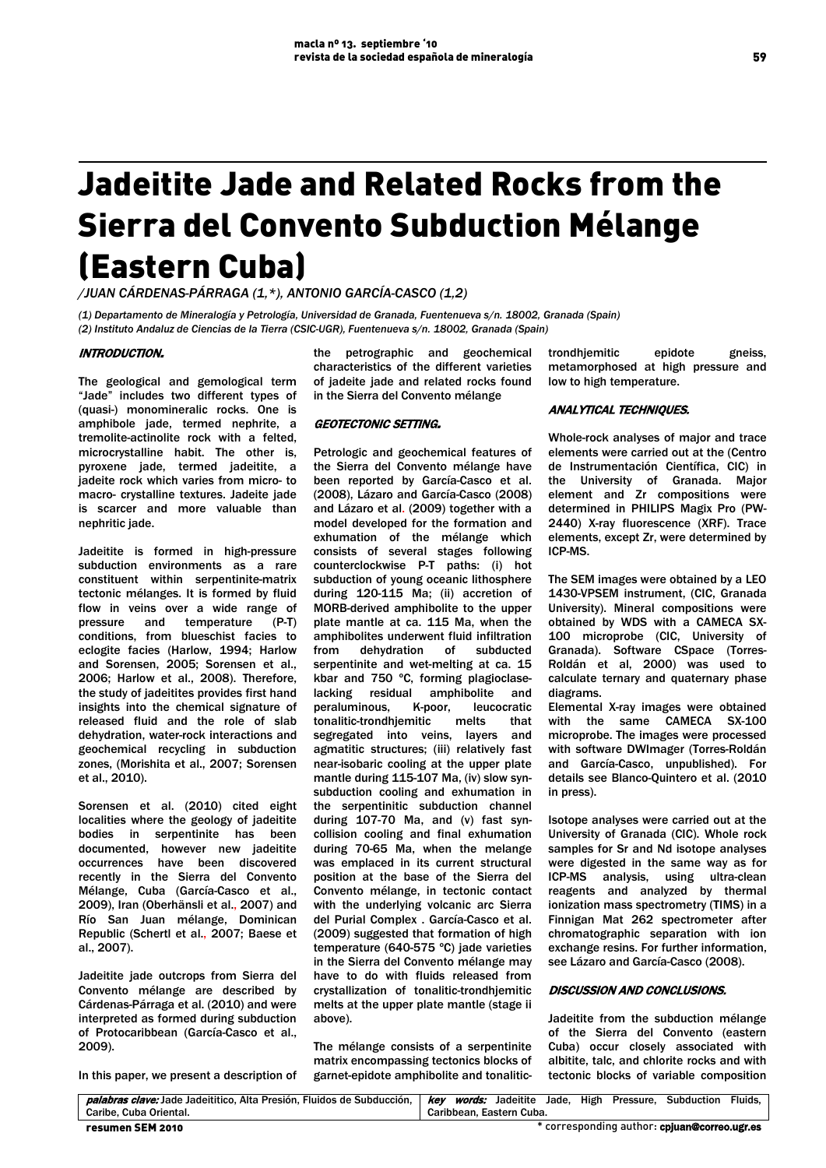# Jadeitite Jade and Related Rocks from the Sierra del Convento Subduction Mélange (Eastern Cuba)

*/JUAN CÁRDENAS-PÁRRAGA (1,\*), ANTONIO GARCÍA-CASCO (1,2)*

*(1) Departamento de Mineralogía y Petrología, Universidad de Granada, Fuentenueva s/n. 18002, Granada (Spain) (2) Instituto Andaluz de Ciencias de la Tierra (CSIC-UGR), Fuentenueva s/n. 18002, Granada (Spain)* 

### INTRODUCTION.

The geological and gemological term "Jade" includes two different types of (quasi-) monomineralic rocks. One is amphibole jade, termed nephrite, a tremolite-actinolite rock with a felted, microcrystalline habit. The other is, pyroxene jade, termed jadeitite, a jadeite rock which varies from micro- to macro- crystalline textures. Jadeite jade is scarcer and more valuable than nephritic jade.

Jadeitite is formed in high-pressure subduction environments as a rare constituent within serpentinite-matrix tectonic mélanges. It is formed by fluid flow in veins over a wide range of pressure and temperature (P-T) conditions, from blueschist facies to eclogite facies (Harlow, 1994; Harlow and Sorensen, 2005; Sorensen et al., 2006; Harlow et al., 2008). Therefore, the study of jadeitites provides first hand insights into the chemical signature of released fluid and the role of slab dehydration, water-rock interactions and geochemical recycling in subduction zones, (Morishita et al., 2007; Sorensen et al., 2010).

Sorensen et al. (2010) cited eight localities where the geology of jadeitite bodies in serpentinite has been documented, however new jadeitite occurrences have been discovered recently in the Sierra del Convento Mélange, Cuba (García-Casco et al., 2009), Iran (Oberhänsli et al., 2007) and Río San Juan mélange, Dominican Republic (Schertl et al., 2007; Baese et al., 2007).

Jadeitite jade outcrops from Sierra del Convento mélange are described by Cárdenas-Párraga et al. (2010) and were interpreted as formed during subduction of Protocaribbean (García-Casco et al., 2009).

In this paper, we present a description of

the petrographic and geochemical characteristics of the different varieties of jadeite jade and related rocks found in the Sierra del Convento mélange

## GEOTECTONIC SETTING.

Petrologic and geochemical features of the Sierra del Convento mélange have been reported by García-Casco et al. (2008), Lázaro and García-Casco (2008) and Lázaro et al. (2009) together with a model developed for the formation and exhumation of the mélange which consists of several stages following counterclockwise P-T paths: (i) hot subduction of young oceanic lithosphere during 120-115 Ma; (ii) accretion of MORB-derived amphibolite to the upper plate mantle at ca. 115 Ma, when the amphibolites underwent fluid infiltration from dehydration of subducted serpentinite and wet-melting at ca. 15 kbar and 750 ºC, forming plagioclaselacking residual amphibolite and peraluminous, K-poor, leucocratic<br>tonalitic-trondhiemitic melts that tonalitic-trondhiemitic segregated into veins, layers and agmatitic structures; (iii) relatively fast near-isobaric cooling at the upper plate mantle during 115-107 Ma, (iv) slow synsubduction cooling and exhumation in the serpentinitic subduction channel during 107-70 Ma, and (v) fast syncollision cooling and final exhumation during 70-65 Ma, when the melange was emplaced in its current structural position at the base of the Sierra del Convento mélange, in tectonic contact with the underlying volcanic arc Sierra del Purial Complex . García-Casco et al. (2009) suggested that formation of high temperature (640-575 ºC) jade varieties in the Sierra del Convento mélange may have to do with fluids released from crystallization of tonalitic-trondhjemitic melts at the upper plate mantle (stage ii above).

The mélange consists of a serpentinite matrix encompassing tectonics blocks of garnet-epidote amphibolite and tonalitictrondhjemitic epidote gneiss, metamorphosed at high pressure and low to high temperature.

#### ANALYTICAL TECHNIQUES.

Whole-rock analyses of major and trace elements were carried out at the (Centro de Instrumentación Científica, CIC) in the University of Granada. Major element and Zr compositions were determined in PHILIPS Magix Pro (PW-2440) X-ray fluorescence (XRF). Trace elements, except Zr, were determined by ICP-MS.

The SEM images were obtained by a LEO 1430-VPSEM instrument, (CIC, Granada University). Mineral compositions were obtained by WDS with a CAMECA SX-100 microprobe (CIC, University of Granada). Software CSpace (Torres-Roldán et al, 2000) was used to calculate ternary and quaternary phase diagrams.

Elemental X-ray images were obtained with the same CAMECA SX-100 microprobe. The images were processed with software DWImager (Torres-Roldán and García-Casco, unpublished). For details see Blanco-Quintero et al. (2010 in press).

Isotope analyses were carried out at the University of Granada (CIC). Whole rock samples for Sr and Nd isotope analyses were digested in the same way as for ICP-MS analysis, using ultra-clean reagents and analyzed by thermal ionization mass spectrometry (TIMS) in a Finnigan Mat 262 spectrometer after chromatographic separation with ion exchange resins. For further information, see Lázaro and García-Casco (2008).

#### DISCUSSION AND CONCLUSIONS.

Jadeitite from the subduction mélange of the Sierra del Convento (eastern Cuba) occur closely associated with albitite, talc, and chlorite rocks and with tectonic blocks of variable composition

| resumen SEM 2010                                                                                                                      | * corresponding author: cpluan@correo.ugr.es |
|---------------------------------------------------------------------------------------------------------------------------------------|----------------------------------------------|
| Caribe, Cuba Oriental.                                                                                                                | Caribbean. Eastern Cuba.                     |
| palabras clave: Jade Jadeititico, Alta Presión, Fluidos de Subducción,   key words: Jadeitite Jade, High Pressure, Subduction Fluids, |                                              |